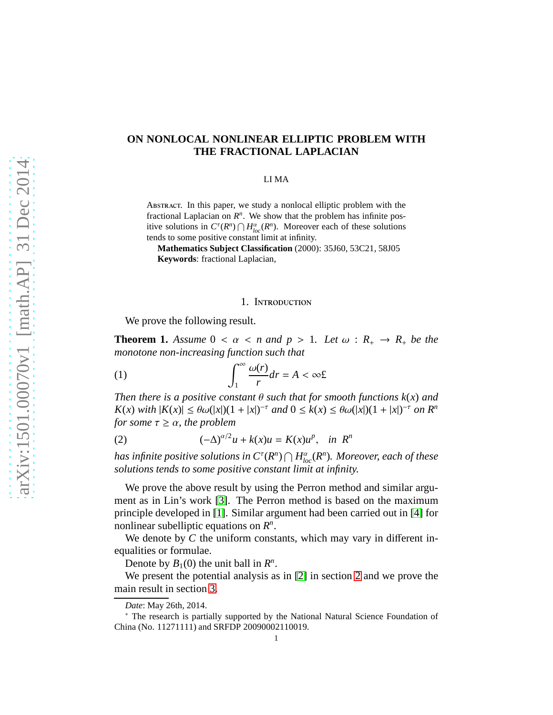# **ON NONLOCAL NONLINEAR ELLIPTIC PROBLEM WITH THE FRACTIONAL LAPLACIAN**

#### LI MA

Abstract. In this paper, we study a nonlocal elliptic problem with the fractional Laplacian on  $R<sup>n</sup>$ . We show that the problem has infinite positive solutions in  $C^{\tau}(R^n) \cap H^{\alpha}_{loc}(R^n)$ . Moreover each of these solutions tends to some positive constant limit at infinity.

**Mathematics Subject Classification** (2000): 35J60, 53C21, 58J05 **Keywords**: fractional Laplacian,

### <span id="page-0-0"></span>1. Introduction

We prove the following result.

<span id="page-0-1"></span>**Theorem 1.** Assume  $0 < \alpha < n$  and  $p > 1$ . Let  $\omega : R_+ \to R_+$  be the *monotone non-increasing function such that*

(1) 
$$
\int_{1}^{\infty} \frac{\omega(r)}{r} dr = A < \infty f.
$$

*Then there is a positive constant*  $\theta$  *such that for smooth functions*  $k(x)$  *and*  $K(x)$  *with*  $|K(x)| \leq \theta \omega(|x|)(1+|x|)^{-\tau}$  *and*  $0 \leq k(x) \leq \theta \omega(|x|)(1+|x|)^{-\tau}$  *on*  $R^n$ *for some*  $\tau \geq \alpha$ *, the problem* 

<span id="page-0-2"></span>(2) 
$$
(-\Delta)^{\alpha/2}u + k(x)u = K(x)u^p, \text{ in } R^n
$$

has infinite positive solutions in  $C^\tau(R^n) \bigcap H^{\alpha}_{loc}(R^n)$ . Moreover, each of these *solutions tends to some positive constant limit at infinity.*

We prove the above result by using the Perron method and similar argument as in Lin's work [\[3\]](#page-2-0). The Perron method is based on the maximum principle developed in [\[1\]](#page-2-1). Similar argument had been carried out in [\[4\]](#page-2-2) for nonlinear subelliptic equations on *R n* .

We denote by *C* the uniform constants, which may vary in different inequalities or formulae.

Denote by  $B_1(0)$  the unit ball in  $R^n$ .

We present the potential analysis as in [\[2\]](#page-2-3) in section [2](#page-1-0) and we prove the main result in section [3.](#page-2-4)

*Date*: May 26th, 2014.

<sup>∗</sup> The research is partially supported by the National Natural Science Foundation of China (No. 11271111) and SRFDP 20090002110019.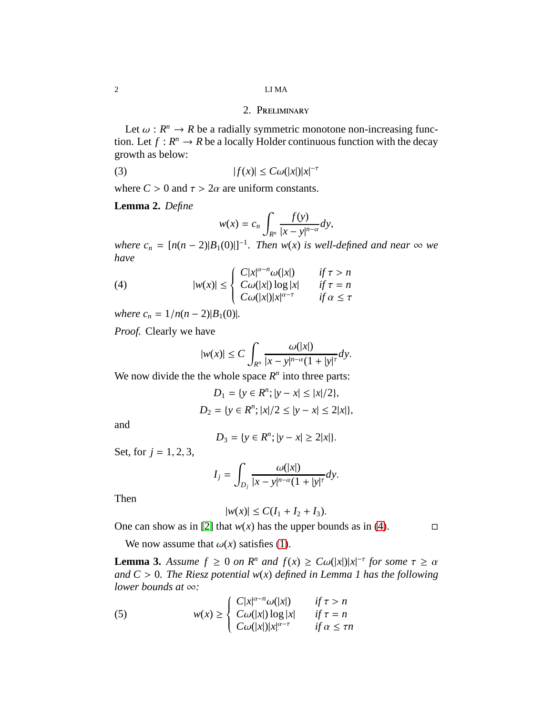## 2. Preliminary

<span id="page-1-0"></span>Let  $\omega : R^n \to R$  be a radially symmetric monotone non-increasing function. Let  $f : \mathbb{R}^n \to \mathbb{R}$  be a locally Holder continuous function with the decay growth as below:

$$
(3) \t\t |f(x)| \leq C\omega(|x|)|x|^{-\tau}
$$

where  $C > 0$  and  $\tau > 2\alpha$  are uniform constants.

**Lemma 2.** *Define*

$$
w(x) = c_n \int_{R^n} \frac{f(y)}{|x - y|^{n-\alpha}} dy,
$$

*where*  $c_n = [n(n-2)|B_1(0)|]^{-1}$ . Then w(*x*) *is well-defined and near*  $\infty$  *we have*

(4) 
$$
|w(x)| \leq \begin{cases} C|x|^{\alpha-n}\omega(|x|) & \text{if } \tau > n \\ C\omega(|x|) \log|x| & \text{if } \tau = n \\ C\omega(|x|)|x|^{\alpha-\tau} & \text{if } \alpha \leq \tau \end{cases}
$$

*where*  $c_n = 1/n(n-2)|B_1(0)|$ .

*Proof.* Clearly we have

<span id="page-1-1"></span>
$$
|w(x)| \leq C \int_{R^n} \frac{\omega(|x|)}{|x-y|^{n-\alpha}(1+|y|^\tau} dy).
$$

We now divide the the whole space  $R^n$  into three parts:

$$
D_1 = \{ y \in R^n; |y - x| \le |x|/2 \},
$$
  

$$
D_2 = \{ y \in R^n; |x|/2 \le |y - x| \le 2|x| \},\
$$

and

$$
D_3 = \{ y \in R^n; |y - x| \ge 2|x| \}.
$$

Set, for  $j = 1, 2, 3$ ,

$$
I_j = \int_{D_j} \frac{\omega(|x|)}{|x - y|^{n-\alpha}(1 + |y|^\tau)} dy.
$$

Then

$$
|w(x)| \leq C(I_1 + I_2 + I_3).
$$

One can show as in [\[2\]](#page-2-3) that  $w(x)$  has the upper bounds as in [\(4\)](#page-1-1).

We now assume that  $\omega(x)$  satisfies [\(1\)](#page-0-0).

**Lemma 3.** *Assume*  $f \ge 0$  *on*  $R^n$  *and*  $f(x) \ge C\omega(|x|)|x|^{-\tau}$  *for some*  $\tau \ge \alpha$ *and C* > 0*. The Riesz potential w*(*x*) *defined in Lemma 1 has the following lower bounds at* ∞*:*

<span id="page-1-2"></span>(5) 
$$
w(x) \ge \begin{cases} C|x|^{\alpha-n}\omega(|x|) & \text{if } \tau > n \\ C\omega(|x|) \log|x| & \text{if } \tau = n \\ C\omega(|x|)|x|^{\alpha-\tau} & \text{if } \alpha \le \tau n \end{cases}
$$